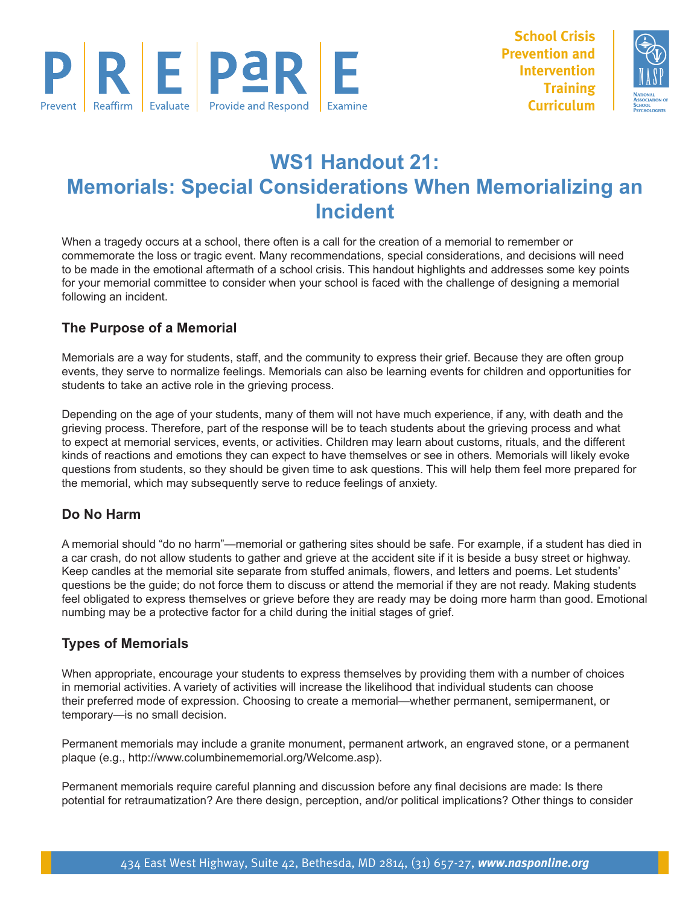



# **WS1 Handout 21: Memorials: Special Considerations When Memorializing an Incident**

When a tragedy occurs at a school, there often is a call for the creation of a memorial to remember or commemorate the loss or tragic event. Many recommendations, special considerations, and decisions will need to be made in the emotional aftermath of a school crisis. This handout highlights and addresses some key points for your memorial committee to consider when your school is faced with the challenge of designing a memorial following an incident.

# **The Purpose of a Memorial**

Memorials are a way for students, staff, and the community to express their grief. Because they are often group events, they serve to normalize feelings. Memorials can also be learning events for children and opportunities for students to take an active role in the grieving process.

Depending on the age of your students, many of them will not have much experience, if any, with death and the grieving process. Therefore, part of the response will be to teach students about the grieving process and what to expect at memorial services, events, or activities. Children may learn about customs, rituals, and the different kinds of reactions and emotions they can expect to have themselves or see in others. Memorials will likely evoke questions from students, so they should be given time to ask questions. This will help them feel more prepared for the memorial, which may subsequently serve to reduce feelings of anxiety.

#### **Do No Harm**

A memorial should "do no harm"—memorial or gathering sites should be safe. For example, if a student has died in a car crash, do not allow students to gather and grieve at the accident site if it is beside a busy street or highway. Keep candles at the memorial site separate from stuffed animals, flowers, and letters and poems. Let students' questions be the guide; do not force them to discuss or attend the memorial if they are not ready. Making students feel obligated to express themselves or grieve before they are ready may be doing more harm than good. Emotional numbing may be a protective factor for a child during the initial stages of grief.

# **Types of Memorials**

When appropriate, encourage your students to express themselves by providing them with a number of choices in memorial activities. A variety of activities will increase the likelihood that individual students can choose their preferred mode of expression. Choosing to create a memorial—whether permanent, semipermanent, or temporary—is no small decision.

Permanent memorials may include a granite monument, permanent artwork, an engraved stone, or a permanent plaque (e.g., http://www.columbinememorial.org/Welcome.asp).

Permanent memorials require careful planning and discussion before any final decisions are made: Is there potential for retraumatization? Are there design, perception, and/or political implications? Other things to consider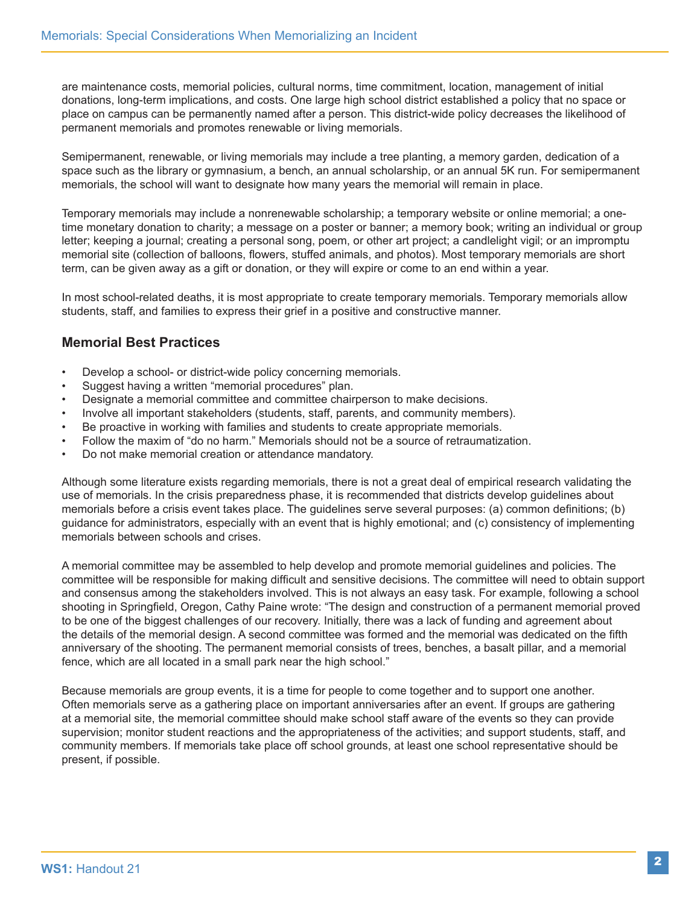are maintenance costs, memorial policies, cultural norms, time commitment, location, management of initial donations, long-term implications, and costs. One large high school district established a policy that no space or place on campus can be permanently named after a person. This district-wide policy decreases the likelihood of permanent memorials and promotes renewable or living memorials.

Semipermanent, renewable, or living memorials may include a tree planting, a memory garden, dedication of a space such as the library or gymnasium, a bench, an annual scholarship, or an annual 5K run. For semipermanent memorials, the school will want to designate how many years the memorial will remain in place.

Temporary memorials may include a nonrenewable scholarship; a temporary website or online memorial; a onetime monetary donation to charity; a message on a poster or banner; a memory book; writing an individual or group letter; keeping a journal; creating a personal song, poem, or other art project; a candlelight vigil; or an impromptu memorial site (collection of balloons, flowers, stuffed animals, and photos). Most temporary memorials are short term, can be given away as a gift or donation, or they will expire or come to an end within a year.

In most school-related deaths, it is most appropriate to create temporary memorials. Temporary memorials allow students, staff, and families to express their grief in a positive and constructive manner.

#### **Memorial Best Practices**

- Develop a school- or district-wide policy concerning memorials.
- Suggest having a written "memorial procedures" plan.
- Designate a memorial committee and committee chairperson to make decisions.
- Involve all important stakeholders (students, staff, parents, and community members).
- Be proactive in working with families and students to create appropriate memorials.
- Follow the maxim of "do no harm." Memorials should not be a source of retraumatization.
- Do not make memorial creation or attendance mandatory.

Although some literature exists regarding memorials, there is not a great deal of empirical research validating the use of memorials. In the crisis preparedness phase, it is recommended that districts develop guidelines about memorials before a crisis event takes place. The guidelines serve several purposes: (a) common definitions; (b) guidance for administrators, especially with an event that is highly emotional; and (c) consistency of implementing memorials between schools and crises.

A memorial committee may be assembled to help develop and promote memorial guidelines and policies. The committee will be responsible for making difficult and sensitive decisions. The committee will need to obtain support and consensus among the stakeholders involved. This is not always an easy task. For example, following a school shooting in Springfield, Oregon, Cathy Paine wrote: "The design and construction of a permanent memorial proved to be one of the biggest challenges of our recovery. Initially, there was a lack of funding and agreement about the details of the memorial design. A second committee was formed and the memorial was dedicated on the fifth anniversary of the shooting. The permanent memorial consists of trees, benches, a basalt pillar, and a memorial fence, which are all located in a small park near the high school."

Because memorials are group events, it is a time for people to come together and to support one another. Often memorials serve as a gathering place on important anniversaries after an event. If groups are gathering at a memorial site, the memorial committee should make school staff aware of the events so they can provide supervision; monitor student reactions and the appropriateness of the activities; and support students, staff, and community members. If memorials take place off school grounds, at least one school representative should be present, if possible.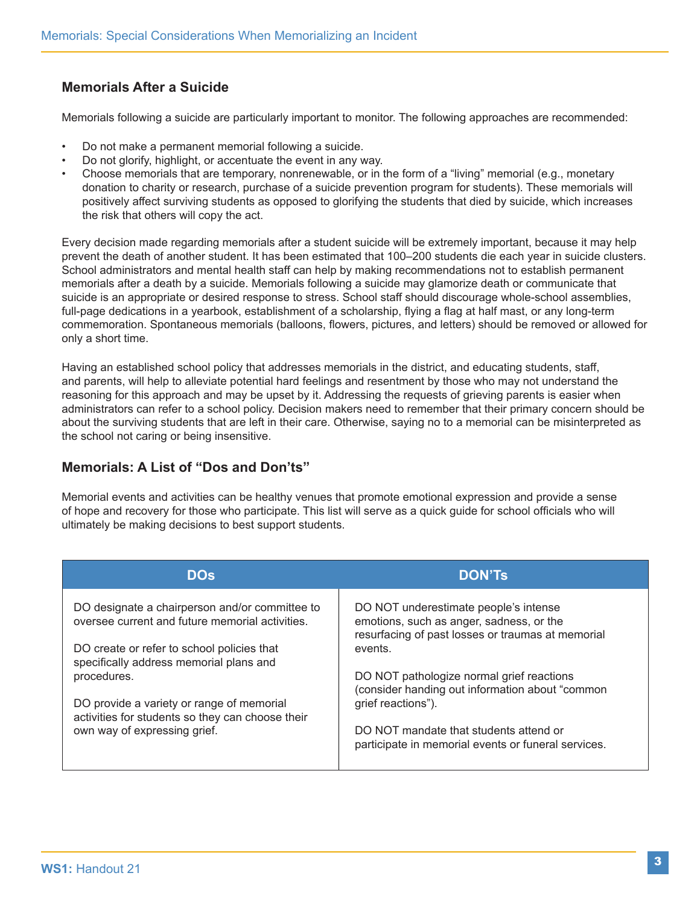# **Memorials After a Suicide**

Memorials following a suicide are particularly important to monitor. The following approaches are recommended:

- Do not make a permanent memorial following a suicide.
- Do not glorify, highlight, or accentuate the event in any way.
- Choose memorials that are temporary, nonrenewable, or in the form of a "living" memorial (e.g., monetary donation to charity or research, purchase of a suicide prevention program for students). These memorials will positively affect surviving students as opposed to glorifying the students that died by suicide, which increases the risk that others will copy the act.

Every decision made regarding memorials after a student suicide will be extremely important, because it may help prevent the death of another student. It has been estimated that 100–200 students die each year in suicide clusters. School administrators and mental health staff can help by making recommendations not to establish permanent memorials after a death by a suicide. Memorials following a suicide may glamorize death or communicate that suicide is an appropriate or desired response to stress. School staff should discourage whole-school assemblies, full-page dedications in a yearbook, establishment of a scholarship, flying a flag at half mast, or any long-term commemoration. Spontaneous memorials (balloons, flowers, pictures, and letters) should be removed or allowed for only a short time.

Having an established school policy that addresses memorials in the district, and educating students, staff, and parents, will help to alleviate potential hard feelings and resentment by those who may not understand the reasoning for this approach and may be upset by it. Addressing the requests of grieving parents is easier when administrators can refer to a school policy. Decision makers need to remember that their primary concern should be about the surviving students that are left in their care. Otherwise, saying no to a memorial can be misinterpreted as the school not caring or being insensitive.

### **Memorials: A List of "Dos and Don'ts"**

Memorial events and activities can be healthy venues that promote emotional expression and provide a sense of hope and recovery for those who participate. This list will serve as a quick guide for school officials who will ultimately be making decisions to best support students.

| <b>DOs</b>                                                                                        | <b>DON'Ts</b>                                                                                                                          |
|---------------------------------------------------------------------------------------------------|----------------------------------------------------------------------------------------------------------------------------------------|
| DO designate a chairperson and/or committee to<br>oversee current and future memorial activities. | DO NOT underestimate people's intense<br>emotions, such as anger, sadness, or the<br>resurfacing of past losses or traumas at memorial |
| DO create or refer to school policies that<br>specifically address memorial plans and             | events.                                                                                                                                |
| procedures.                                                                                       | DO NOT pathologize normal grief reactions<br>(consider handing out information about "common                                           |
| DO provide a variety or range of memorial<br>activities for students so they can choose their     | grief reactions").                                                                                                                     |
| own way of expressing grief.                                                                      | DO NOT mandate that students attend or<br>participate in memorial events or funeral services.                                          |
|                                                                                                   |                                                                                                                                        |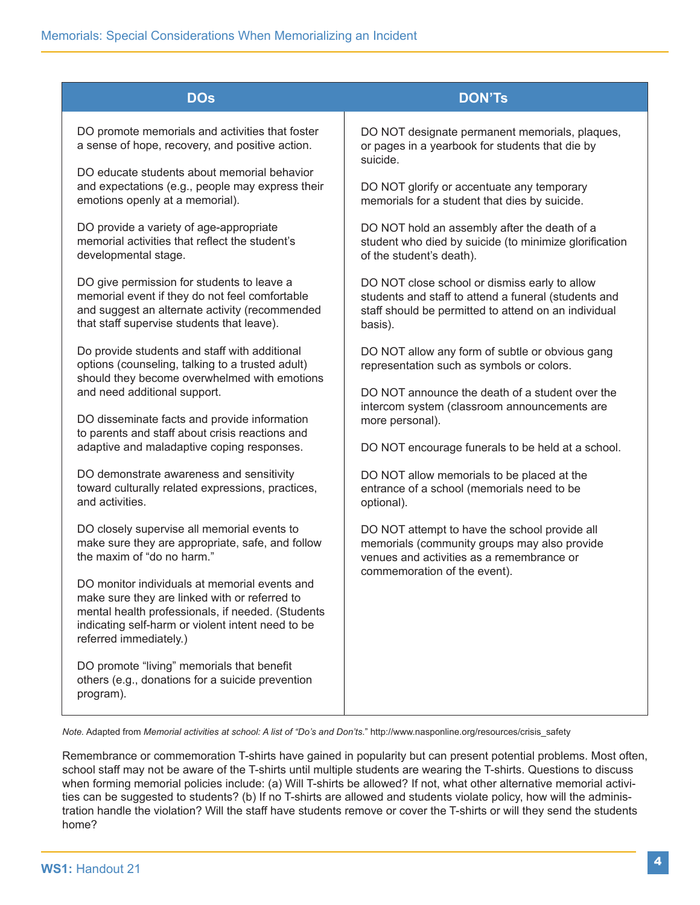| <b>DOs</b>                                                                                                                                                                                                                         | <b>DON'Ts</b>                                                                                                                                                            |
|------------------------------------------------------------------------------------------------------------------------------------------------------------------------------------------------------------------------------------|--------------------------------------------------------------------------------------------------------------------------------------------------------------------------|
| DO promote memorials and activities that foster<br>a sense of hope, recovery, and positive action.                                                                                                                                 | DO NOT designate permanent memorials, plaques,<br>or pages in a yearbook for students that die by<br>suicide.                                                            |
| DO educate students about memorial behavior<br>and expectations (e.g., people may express their<br>emotions openly at a memorial).                                                                                                 | DO NOT glorify or accentuate any temporary<br>memorials for a student that dies by suicide.                                                                              |
| DO provide a variety of age-appropriate<br>memorial activities that reflect the student's<br>developmental stage.                                                                                                                  | DO NOT hold an assembly after the death of a<br>student who died by suicide (to minimize glorification<br>of the student's death).                                       |
| DO give permission for students to leave a<br>memorial event if they do not feel comfortable<br>and suggest an alternate activity (recommended<br>that staff supervise students that leave).                                       | DO NOT close school or dismiss early to allow<br>students and staff to attend a funeral (students and<br>staff should be permitted to attend on an individual<br>basis). |
| Do provide students and staff with additional<br>options (counseling, talking to a trusted adult)<br>should they become overwhelmed with emotions                                                                                  | DO NOT allow any form of subtle or obvious gang<br>representation such as symbols or colors.                                                                             |
| and need additional support.<br>DO disseminate facts and provide information<br>to parents and staff about crisis reactions and                                                                                                    | DO NOT announce the death of a student over the<br>intercom system (classroom announcements are<br>more personal).                                                       |
| adaptive and maladaptive coping responses.                                                                                                                                                                                         | DO NOT encourage funerals to be held at a school.                                                                                                                        |
| DO demonstrate awareness and sensitivity<br>toward culturally related expressions, practices,<br>and activities.                                                                                                                   | DO NOT allow memorials to be placed at the<br>entrance of a school (memorials need to be<br>optional).                                                                   |
| DO closely supervise all memorial events to<br>make sure they are appropriate, safe, and follow<br>the maxim of "do no harm."                                                                                                      | DO NOT attempt to have the school provide all<br>memorials (community groups may also provide<br>venues and activities as a remembrance or                               |
| DO monitor individuals at memorial events and<br>make sure they are linked with or referred to<br>mental health professionals, if needed. (Students<br>indicating self-harm or violent intent need to be<br>referred immediately.) | commemoration of the event).                                                                                                                                             |
| DO promote "living" memorials that benefit<br>others (e.g., donations for a suicide prevention<br>program).                                                                                                                        |                                                                                                                                                                          |

*Note.* Adapted from *Memorial activities at school: A list of "Do's and Don'ts*." http://www.nasponline.org/resources/crisis\_safety

Remembrance or commemoration T-shirts have gained in popularity but can present potential problems. Most often, school staff may not be aware of the T-shirts until multiple students are wearing the T-shirts. Questions to discuss when forming memorial policies include: (a) Will T-shirts be allowed? If not, what other alternative memorial activities can be suggested to students? (b) If no T-shirts are allowed and students violate policy, how will the administration handle the violation? Will the staff have students remove or cover the T-shirts or will they send the students home?